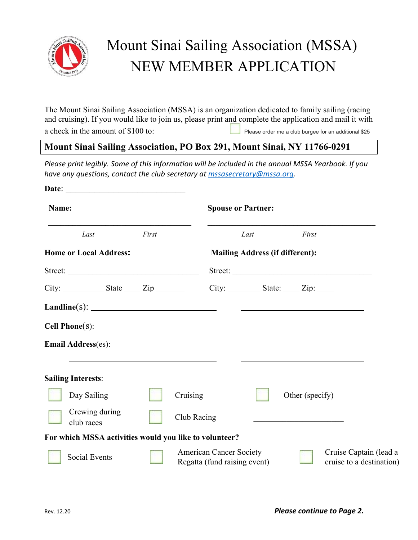

## Mount Sinai Sailing Association (MSSA) NEW MEMBER APPLICATION

The Mount Sinai Sailing Association (MSSA) is an organization dedicated to family sailing (racing and cruising). If you would like to join us, please print and complete the application and mail it with

a check in the amount of \$100 to: Please order me a club burgee for an additional \$25

## **Mount Sinai Sailing Association, PO Box 291, Mount Sinai, NY 11766-0291**

*Please print legibly. Some of this information will be included in the annual MSSA Yearbook. If you have any questions, contact the club secretary at mssasecretary@mssa.org.*

| Name:                                                  |       |                                                                | <b>Spouse or Partner:</b>              |                              |  |                                                    |  |
|--------------------------------------------------------|-------|----------------------------------------------------------------|----------------------------------------|------------------------------|--|----------------------------------------------------|--|
| Last                                                   | First |                                                                | Last                                   | First                        |  |                                                    |  |
| <b>Home or Local Address:</b>                          |       |                                                                | <b>Mailing Address (if different):</b> |                              |  |                                                    |  |
| Street:                                                |       |                                                                | Street:                                |                              |  |                                                    |  |
| $City:$ State $Zip$                                    |       |                                                                | $City:$ State: $Zip:$                  |                              |  |                                                    |  |
|                                                        |       |                                                                |                                        |                              |  |                                                    |  |
|                                                        |       |                                                                |                                        | <u> Alexandria (m. 1858)</u> |  |                                                    |  |
| <b>Email Address(es):</b>                              |       |                                                                |                                        |                              |  |                                                    |  |
| <b>Sailing Interests:</b>                              |       |                                                                |                                        |                              |  |                                                    |  |
| Day Sailing                                            |       | Cruising                                                       |                                        | Other (specify)              |  |                                                    |  |
| Crewing during<br>club races                           |       | Club Racing                                                    |                                        |                              |  |                                                    |  |
| For which MSSA activities would you like to volunteer? |       |                                                                |                                        |                              |  |                                                    |  |
| <b>Social Events</b>                                   |       | <b>American Cancer Society</b><br>Regatta (fund raising event) |                                        |                              |  | Cruise Captain (lead a<br>cruise to a destination) |  |